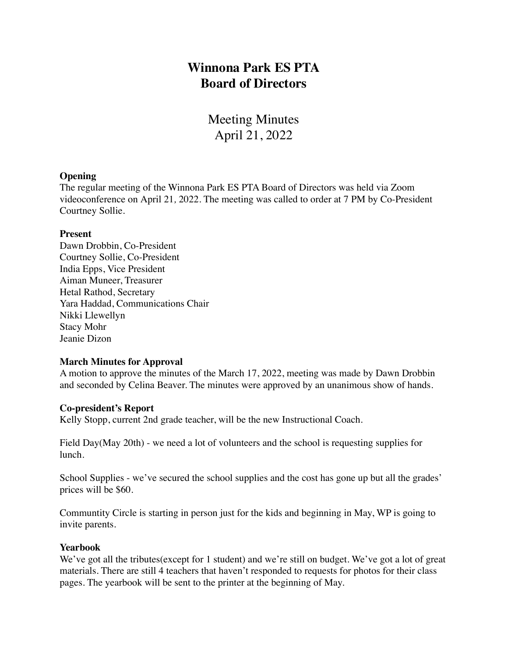# **Winnona Park ES PTA Board of Directors**

Meeting Minutes April 21, 2022

### **Opening**

The regular meeting of the Winnona Park ES PTA Board of Directors was held via Zoom videoconference on April 21*,* 2022. The meeting was called to order at 7 PM by Co-President Courtney Sollie.

#### **Present**

Dawn Drobbin, Co-President Courtney Sollie, Co-President India Epps, Vice President Aiman Muneer, Treasurer Hetal Rathod, Secretary Yara Haddad, Communications Chair Nikki Llewellyn Stacy Mohr Jeanie Dizon

# **March Minutes for Approval**

A motion to approve the minutes of the March 17, 2022, meeting was made by Dawn Drobbin and seconded by Celina Beaver. The minutes were approved by an unanimous show of hands.

# **Co-president's Report**

Kelly Stopp, current 2nd grade teacher, will be the new Instructional Coach.

Field Day(May 20th) - we need a lot of volunteers and the school is requesting supplies for lunch.

School Supplies - we've secured the school supplies and the cost has gone up but all the grades' prices will be \$60.

Communtity Circle is starting in person just for the kids and beginning in May, WP is going to invite parents.

### **Yearbook**

We've got all the tributes (except for 1 student) and we're still on budget. We've got a lot of great materials. There are still 4 teachers that haven't responded to requests for photos for their class pages. The yearbook will be sent to the printer at the beginning of May.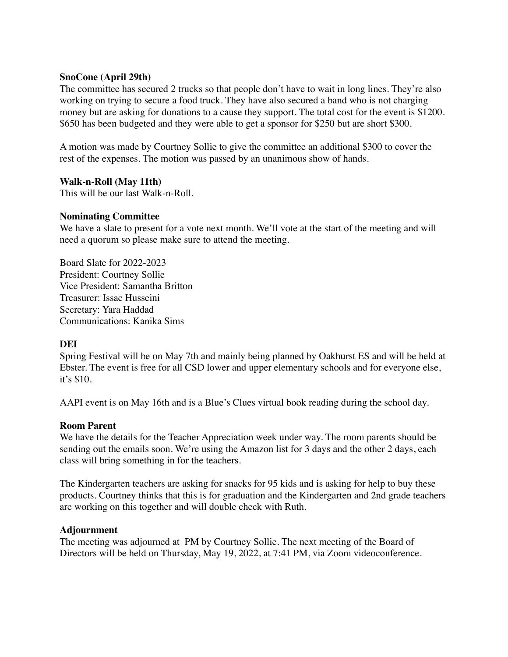# **SnoCone (April 29th)**

The committee has secured 2 trucks so that people don't have to wait in long lines. They're also working on trying to secure a food truck. They have also secured a band who is not charging money but are asking for donations to a cause they support. The total cost for the event is \$1200. \$650 has been budgeted and they were able to get a sponsor for \$250 but are short \$300.

A motion was made by Courtney Sollie to give the committee an additional \$300 to cover the rest of the expenses. The motion was passed by an unanimous show of hands.

### **Walk-n-Roll (May 11th)**

This will be our last Walk-n-Roll.

# **Nominating Committee**

We have a slate to present for a vote next month. We'll vote at the start of the meeting and will need a quorum so please make sure to attend the meeting.

Board Slate for 2022-2023 President: Courtney Sollie Vice President: Samantha Britton Treasurer: Issac Husseini Secretary: Yara Haddad Communications: Kanika Sims

# **DEI**

Spring Festival will be on May 7th and mainly being planned by Oakhurst ES and will be held at Ebster. The event is free for all CSD lower and upper elementary schools and for everyone else, it's \$10.

AAPI event is on May 16th and is a Blue's Clues virtual book reading during the school day.

#### **Room Parent**

We have the details for the Teacher Appreciation week under way. The room parents should be sending out the emails soon. We're using the Amazon list for 3 days and the other 2 days, each class will bring something in for the teachers.

The Kindergarten teachers are asking for snacks for 95 kids and is asking for help to buy these products. Courtney thinks that this is for graduation and the Kindergarten and 2nd grade teachers are working on this together and will double check with Ruth.

#### **Adjournment**

The meeting was adjourned at PM by Courtney Sollie. The next meeting of the Board of Directors will be held on Thursday, May 19, 2022, at 7:41 PM, via Zoom videoconference.